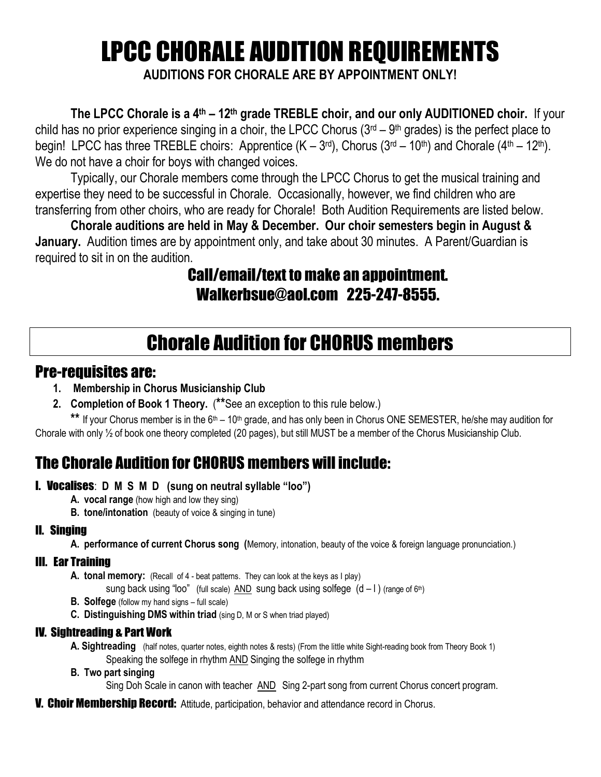# LPCC CHORALE AUDITION REQUIREMENTS

**AUDITIONS FOR CHORALE ARE BY APPOINTMENT ONLY!**

**The LPCC Chorale is a 4th – 12th grade TREBLE choir, and our only AUDITIONED choir.** If your child has no prior experience singing in a choir, the LPCC Chorus (3<sup>rd</sup> – 9<sup>th</sup> grades) is the perfect place to begin! LPCC has three TREBLE choirs: Apprentice  $(K-3<sup>rd</sup>)$ , Chorus  $(3<sup>rd</sup>-10<sup>th</sup>)$  and Chorale  $(4<sup>th</sup>-12<sup>th</sup>)$ . We do not have a choir for boys with changed voices.

Typically, our Chorale members come through the LPCC Chorus to get the musical training and expertise they need to be successful in Chorale. Occasionally, however, we find children who are transferring from other choirs, who are ready for Chorale! Both Audition Requirements are listed below.

**Chorale auditions are held in May & December. Our choir semesters begin in August & January.** Audition times are by appointment only, and take about 30 minutes. A Parent/Guardian is required to sit in on the audition.

### Call/email/text to make an appointment. [Walkerbsue@aol.com](mailto:Walkerbsue@aol.com) 225-247-8555.

# Chorale Audition for CHORUS members

#### Pre-requisites are:

- **1. Membership in Chorus Musicianship Club**
- **2. Completion of Book 1 Theory.** (**\*\***See an exception to this rule below.)

\*\* If your Chorus member is in the 6<sup>th</sup> – 10<sup>th</sup> grade, and has only been in Chorus ONE SEMESTER, he/she may audition for Chorale with only ½ of book one theory completed (20 pages), but still MUST be a member of the Chorus Musicianship Club.

## The Chorale Audition for CHORUS members will include:

#### I.Vocalises: **D M S M D (sung on neutral syllable "loo")**

- **A. vocal range** (how high and low they sing)
- **B. tone/intonation** (beauty of voice & singing in tune)

#### II.Singing

**A. performance of current Chorus song (**Memory, intonation, beauty of the voice & foreign language pronunciation.)

#### III.Ear Training

**A. tonal memory:** (Recall of 4 - beat patterns. They can look at the keys as I play)

sung back using "loo" (full scale) AND sung back using solfege  $(d - 1)$  (range of 6<sup>th</sup>)

- **B. Solfege** (follow my hand signs full scale)
- **C. Distinguishing DMS within triad** (sing D, M or S when triad played)

#### IV. Sightreading & Part Work

- **A. Sightreading** (half notes, quarter notes, eighth notes & rests) (From the little white Sight-reading book from Theory Book 1) Speaking the solfege in rhythm AND Singing the solfege in rhythm
- **B. Two part singing**

Sing Doh Scale in canon with teacher AND Sing 2-part song from current Chorus concert program.

**V. Choir Membership Record:** Attitude, participation, behavior and attendance record in Chorus.